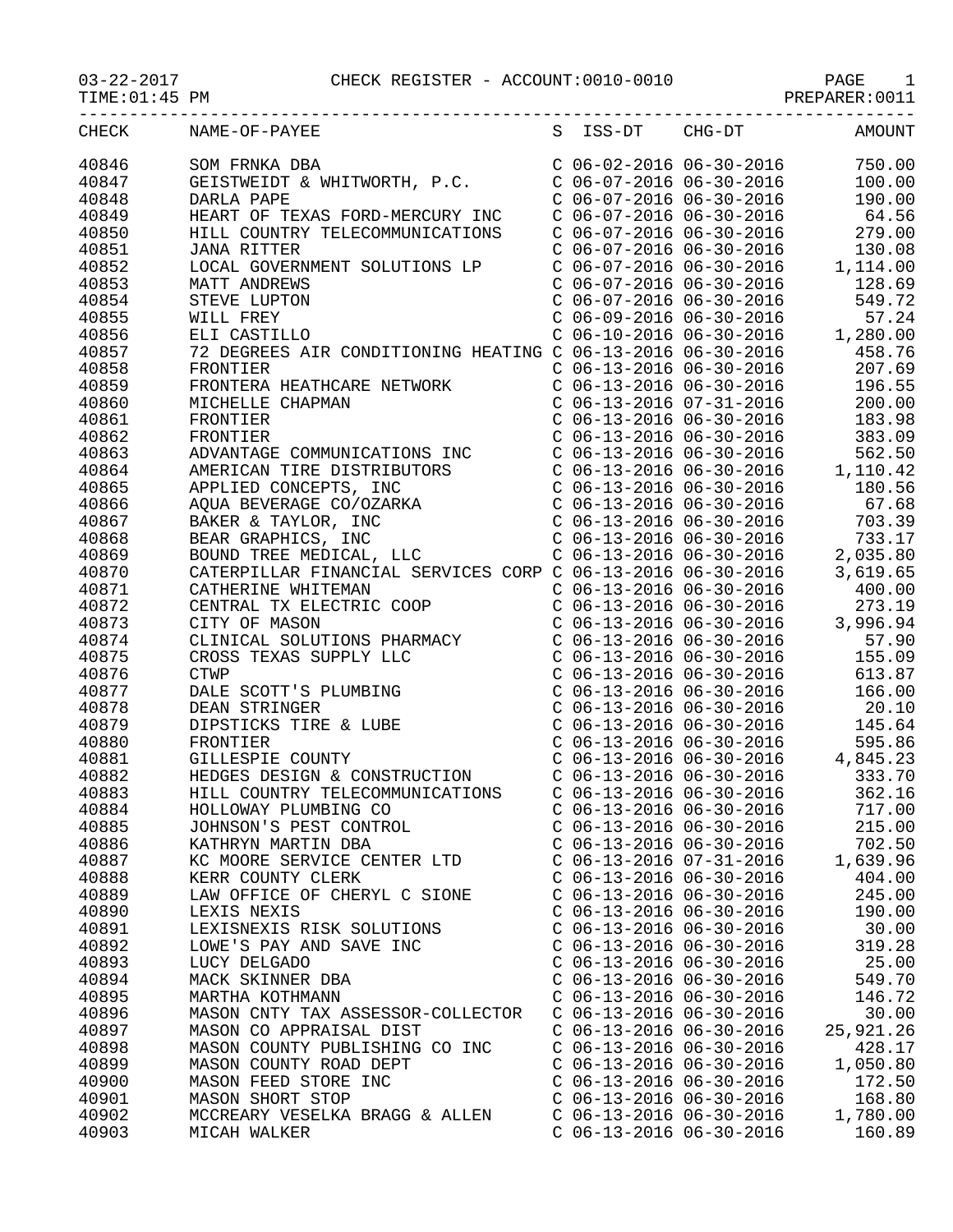| TIME: 01:45 PM |                                                             |                           | PREPARER: 0011 |
|----------------|-------------------------------------------------------------|---------------------------|----------------|
| CHECK          | NAME-OF-PAYEE                                               | S ISS-DT CHG-DT           | AMOUNT         |
| 40846          | אועת DBA<br>GEISTWEIDT & WHITWORTH, P.C.<br>DARLA DADE      | $C$ 06-02-2016 06-30-2016 | 750.00         |
| 40847          |                                                             | $C$ 06-07-2016 06-30-2016 | 100.00         |
| 40848          | DARLA PAPE                                                  | $C$ 06-07-2016 06-30-2016 | 190.00         |
| 40849          | HEART OF TEXAS FORD-MERCURY INC                             | $C$ 06-07-2016 06-30-2016 | 64.56          |
| 40850          | HILL COUNTRY TELECOMMUNICATIONS                             | $C$ 06-07-2016 06-30-2016 | 279.00         |
| 40851          | <b>JANA RITTER</b>                                          | $C$ 06-07-2016 06-30-2016 | 130.08         |
| 40852          | LOCAL GOVERNMENT SOLUTIONS LP                               | $C$ 06-07-2016 06-30-2016 | 1,114.00       |
| 40853          | MATT ANDREWS                                                | $C$ 06-07-2016 06-30-2016 | 128.69         |
| 40854          | STEVE LUPTON                                                | $C$ 06-07-2016 06-30-2016 | 549.72         |
| 40855          | WILL FREY                                                   | $C$ 06-09-2016 06-30-2016 | 57.24          |
| 40856          | ELI CASTILLO                                                | $C$ 06-10-2016 06-30-2016 | 1,280.00       |
| 40857          | 72 DEGREES AIR CONDITIONING HEATING C 06-13-2016 06-30-2016 |                           | 458.76         |
|                |                                                             |                           |                |
| 40858          | FRONTIER                                                    | $C$ 06-13-2016 06-30-2016 | 207.69         |
| 40859          | FRONTERA HEATHCARE NETWORK                                  | $C$ 06-13-2016 06-30-2016 | 196.55         |
| 40860          | MICHELLE CHAPMAN                                            | $C$ 06-13-2016 07-31-2016 | 200.00         |
| 40861          | FRONTIER                                                    | $C$ 06-13-2016 06-30-2016 | 183.98         |
| 40862          | FRONTIER                                                    | $C$ 06-13-2016 06-30-2016 | 383.09         |
| 40863          | ADVANTAGE COMMUNICATIONS INC                                | $C$ 06-13-2016 06-30-2016 | 562.50         |
| 40864          | AMERICAN TIRE DISTRIBUTORS                                  | $C$ 06-13-2016 06-30-2016 | 1,110.42       |
| 40865          | APPLIED CONCEPTS, INC                                       | $C$ 06-13-2016 06-30-2016 | 180.56         |
| 40866          | AQUA BEVERAGE CO/OZARKA                                     | $C$ 06-13-2016 06-30-2016 | 67.68          |
| 40867          | BAKER & TAYLOR, INC                                         | $C$ 06-13-2016 06-30-2016 | 703.39         |
| 40868          | BEAR GRAPHICS, INC                                          | $C$ 06-13-2016 06-30-2016 | 733.17         |
| 40869          | BOUND TREE MEDICAL, LLC                                     | $C$ 06-13-2016 06-30-2016 | 2,035.80       |
| 40870          | CATERPILLAR FINANCIAL SERVICES CORP C 06-13-2016 06-30-2016 |                           | 3,619.65       |
| 40871          | CATHERINE WHITEMAN                                          | $C$ 06-13-2016 06-30-2016 | 400.00         |
| 40872          | CENTRAL TX ELECTRIC COOP                                    | $C$ 06-13-2016 06-30-2016 | 273.19         |
| 40873          | CITY OF MASON                                               | $C$ 06-13-2016 06-30-2016 | 3,996.94       |
| 40874          | CLINICAL SOLUTIONS PHARMACY                                 | $C$ 06-13-2016 06-30-2016 | 57.90          |
| 40875          | CROSS TEXAS SUPPLY LLC                                      | $C$ 06-13-2016 06-30-2016 | 155.09         |
| 40876          | <b>CTWP</b>                                                 | $C$ 06-13-2016 06-30-2016 | 613.87         |
| 40877          | DALE SCOTT'S PLUMBING                                       | $C$ 06-13-2016 06-30-2016 | 166.00         |
| 40878          | DEAN STRINGER                                               | $C$ 06-13-2016 06-30-2016 | 20.10          |
| 40879          | DIPSTICKS TIRE & LUBE                                       | $C$ 06-13-2016 06-30-2016 | 145.64         |
| 40880          | FRONTIER                                                    | $C$ 06-13-2016 06-30-2016 | 595.86         |
| 40881          | GILLESPIE COUNTY                                            | $C$ 06-13-2016 06-30-2016 | 4,845.23       |
| 40882          | HEDGES DESIGN & CONSTRUCTION                                | $C$ 06-13-2016 06-30-2016 | 333.70         |
| 40883          | HILL COUNTRY TELECOMMUNICATIONS                             | $C$ 06-13-2016 06-30-2016 | 362.16         |
| 40884          | HOLLOWAY PLUMBING CO                                        | $C$ 06-13-2016 06-30-2016 | 717.00         |
| 40885          | JOHNSON'S PEST CONTROL                                      | $C$ 06-13-2016 06-30-2016 | 215.00         |
| 40886          | KATHRYN MARTIN DBA                                          | $C$ 06-13-2016 06-30-2016 | 702.50         |
| 40887          | KC MOORE SERVICE CENTER LTD                                 | $C$ 06-13-2016 07-31-2016 | 1,639.96       |
| 40888          | KERR COUNTY CLERK                                           | $C$ 06-13-2016 06-30-2016 | 404.00         |
| 40889          | LAW OFFICE OF CHERYL C SIONE                                | $C$ 06-13-2016 06-30-2016 | 245.00         |
| 40890          | LEXIS NEXIS                                                 | $C$ 06-13-2016 06-30-2016 | 190.00         |
| 40891          | LEXISNEXIS RISK SOLUTIONS                                   | $C$ 06-13-2016 06-30-2016 | 30.00          |
| 40892          | LOWE'S PAY AND SAVE INC                                     | $C$ 06-13-2016 06-30-2016 | 319.28         |
| 40893          | LUCY DELGADO                                                | $C$ 06-13-2016 06-30-2016 | 25.00          |
| 40894          | MACK SKINNER DBA                                            | $C$ 06-13-2016 06-30-2016 | 549.70         |
| 40895          | MARTHA KOTHMANN                                             | $C$ 06-13-2016 06-30-2016 | 146.72         |
|                |                                                             |                           |                |
| 40896          | MASON CNTY TAX ASSESSOR-COLLECTOR                           | $C$ 06-13-2016 06-30-2016 | 30.00          |
| 40897          | MASON CO APPRAISAL DIST                                     | $C$ 06-13-2016 06-30-2016 | 25,921.26      |
| 40898          | MASON COUNTY PUBLISHING CO INC                              | $C$ 06-13-2016 06-30-2016 | 428.17         |
| 40899          | MASON COUNTY ROAD DEPT                                      | $C$ 06-13-2016 06-30-2016 | 1,050.80       |
| 40900          | MASON FEED STORE INC                                        | $C$ 06-13-2016 06-30-2016 | 172.50         |
| 40901          | MASON SHORT STOP                                            | $C$ 06-13-2016 06-30-2016 | 168.80         |
| 40902          | MCCREARY VESELKA BRAGG & ALLEN                              | $C$ 06-13-2016 06-30-2016 | 1,780.00       |
| 40903          | MICAH WALKER                                                | $C$ 06-13-2016 06-30-2016 | 160.89         |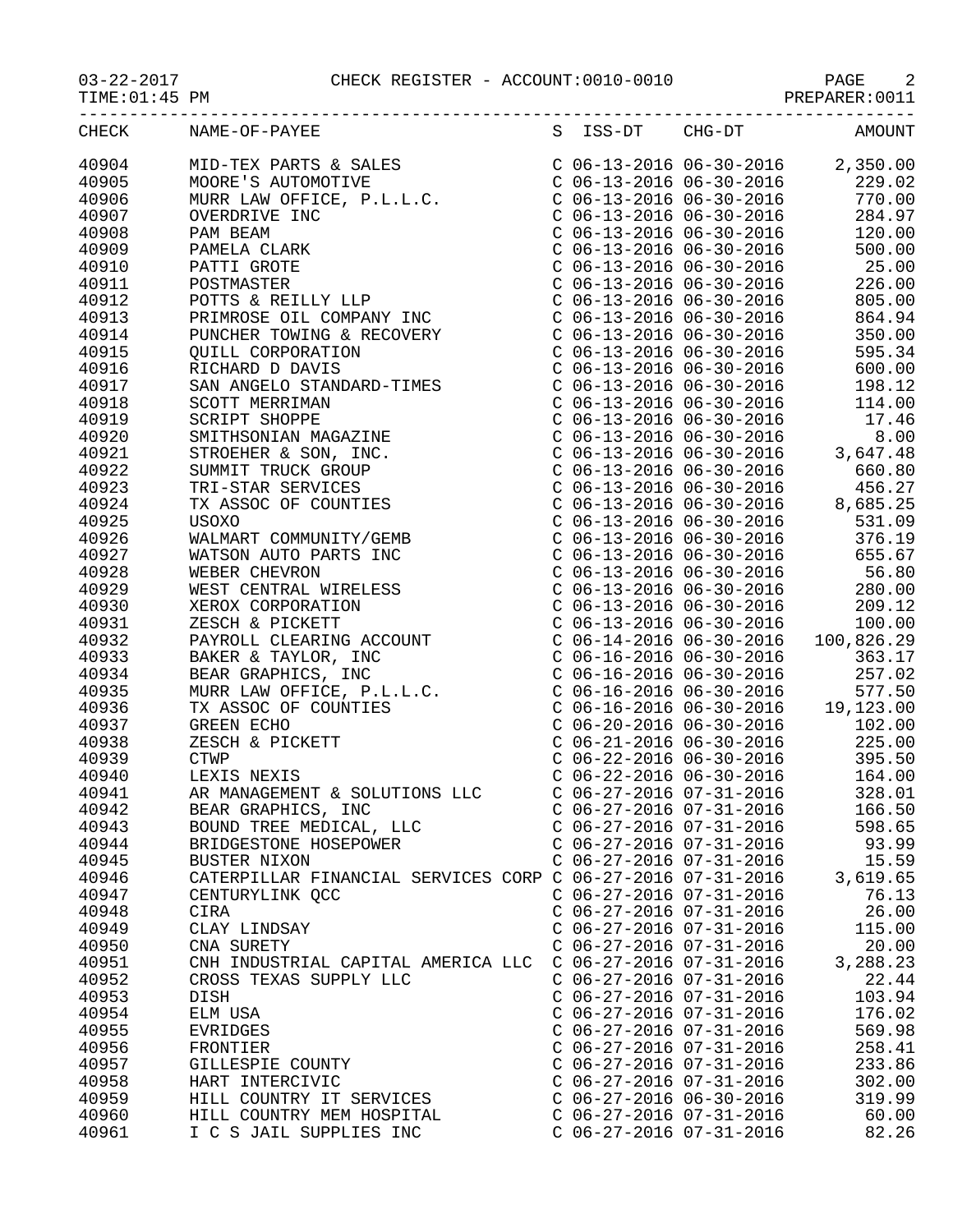$03-22-2017$  CHECK REGISTER - ACCOUNT:0010-0010<br>TIME:01:45 PM

|--|

| :01:45 PM |  |  |
|-----------|--|--|
|-----------|--|--|

| CHECK          | NAME-OF-PAYEE                                                                                                                                                                                                                                        | S ISS-DT                                                                      | $CHG-DT$ | AMOUNT                                                                                                                                                                                                                                        |
|----------------|------------------------------------------------------------------------------------------------------------------------------------------------------------------------------------------------------------------------------------------------------|-------------------------------------------------------------------------------|----------|-----------------------------------------------------------------------------------------------------------------------------------------------------------------------------------------------------------------------------------------------|
| 40904          | MID-TEX PARTS & SALES<br>MOORE'S AUTOMOTIVE<br>MURR LAW OFFICE, P.L.L.C.                                                                                                                                                                             |                                                                               |          | $C$ 06-13-2016 06-30-2016 2,350.00                                                                                                                                                                                                            |
| 40905          |                                                                                                                                                                                                                                                      |                                                                               |          | C 06-13-2016 06-30-2016 229.02                                                                                                                                                                                                                |
| 40906          |                                                                                                                                                                                                                                                      | $C$ 06-13-2016 06-30-2016                                                     |          | 770.00                                                                                                                                                                                                                                        |
| 40907          |                                                                                                                                                                                                                                                      |                                                                               |          | 284.97                                                                                                                                                                                                                                        |
| 40908          |                                                                                                                                                                                                                                                      | C 06-13-2016 06-30-2016<br>C 06-13-2016 06-30-2016<br>C 06-13-2016 06-30-2016 |          | 120.00                                                                                                                                                                                                                                        |
| 40909          |                                                                                                                                                                                                                                                      |                                                                               |          | 500.00                                                                                                                                                                                                                                        |
| 40910          |                                                                                                                                                                                                                                                      |                                                                               |          | $C$ 06-13-2016 06-30-2016 25.00                                                                                                                                                                                                               |
| 40911          |                                                                                                                                                                                                                                                      |                                                                               |          | $C$ 06-13-2016 06-30-2016 226.00                                                                                                                                                                                                              |
| 40912          |                                                                                                                                                                                                                                                      |                                                                               |          |                                                                                                                                                                                                                                               |
| 40913          |                                                                                                                                                                                                                                                      |                                                                               |          |                                                                                                                                                                                                                                               |
| 40914          |                                                                                                                                                                                                                                                      |                                                                               |          | $\left( \begin{array}{ccc} C & 06-13-2016 & 06-30-2016 & 805.00 \\ C & 06-13-2016 & 06-30-2016 & 864.94 \\ C & 06-13-2016 & 06-30-2016 & 350.00 \end{array} \right)$                                                                          |
| 40915          |                                                                                                                                                                                                                                                      |                                                                               |          | C 06-13-2016 06-30-2016 595.34                                                                                                                                                                                                                |
| 40916          |                                                                                                                                                                                                                                                      |                                                                               |          | $C$ 06-13-2016 06-30-2016 600.00                                                                                                                                                                                                              |
| 40917          |                                                                                                                                                                                                                                                      |                                                                               |          |                                                                                                                                                                                                                                               |
| 40918          |                                                                                                                                                                                                                                                      |                                                                               |          |                                                                                                                                                                                                                                               |
| 40919          |                                                                                                                                                                                                                                                      |                                                                               |          |                                                                                                                                                                                                                                               |
| 40920          |                                                                                                                                                                                                                                                      |                                                                               |          | $C$ 06-13-2016 06-30-2016<br>$C$ 06-13-2016 06-30-2016<br>$C$ 06-13-2016 06-30-2016<br>$C$ 06-13-2016 06-30-2016<br>$C$ 06-13-2016 06-30-2016<br>$C$ 06-13-2016 06-30-2016<br>$C$ 06-13-2016 06-30-2016<br>$C$ 06-13-2016 06-30-2016<br>$C$ 0 |
| 40921          |                                                                                                                                                                                                                                                      |                                                                               |          |                                                                                                                                                                                                                                               |
| 40922          |                                                                                                                                                                                                                                                      |                                                                               |          |                                                                                                                                                                                                                                               |
|                |                                                                                                                                                                                                                                                      |                                                                               |          |                                                                                                                                                                                                                                               |
| 40923<br>40924 |                                                                                                                                                                                                                                                      |                                                                               |          |                                                                                                                                                                                                                                               |
| 40925          |                                                                                                                                                                                                                                                      |                                                                               |          | C 06-13-2016 06-30-2016 660.80<br>C 06-13-2016 06-30-2016 456.27<br>C 06-13-2016 06-30-2016 456.27<br>C 06-13-2016 06-30-2016 8,685.25<br>C 06-13-2016 06-30-2016 531.09<br>C 06-13-2016 06-30-2016 376.19                                    |
|                |                                                                                                                                                                                                                                                      |                                                                               |          |                                                                                                                                                                                                                                               |
| 40926          |                                                                                                                                                                                                                                                      |                                                                               |          |                                                                                                                                                                                                                                               |
| 40927          |                                                                                                                                                                                                                                                      |                                                                               |          | C 06-13-2016 06-30-2016 655.67                                                                                                                                                                                                                |
| 40928          |                                                                                                                                                                                                                                                      |                                                                               |          |                                                                                                                                                                                                                                               |
| 40929          |                                                                                                                                                                                                                                                      |                                                                               |          |                                                                                                                                                                                                                                               |
| 40930          | MOORE'S AUTOMOTIVE<br>MURR LAW OFFICE, P.L.L.C.<br>MURR LAW OFFICE, P.L.L.C.<br>OVERDRIVE INC<br>PAMELA CLARK<br>PATTI GROTE<br>POTTS & REILLY LLP<br>POTTS & REILLY LLP<br>POTTS & REILLY LLP<br>POTTS & REILLY LLP<br>POTTS & REILLY LOW AND<br>NO |                                                                               |          | C 06-13-2016 06-30-2016 56.80<br>C 06-13-2016 06-30-2016 280.00<br>C 06-13-2016 06-30-2016 209.12<br>C 06-13-2016 06-30-2016 209.12<br>C 06-14-2016 06-30-2016 100.826.29                                                                     |
| 40931          |                                                                                                                                                                                                                                                      |                                                                               |          |                                                                                                                                                                                                                                               |
| 40932          |                                                                                                                                                                                                                                                      |                                                                               |          |                                                                                                                                                                                                                                               |
| 40933          |                                                                                                                                                                                                                                                      |                                                                               |          | C 06-16-2016 06-30-2016 363.17<br>C 06-16-2016 06-30-2016 257.02<br>C 06-16-2016 06-30-2016 257.02<br>C 06-16-2016 06-30-2016 577.50<br>C 06-16-2016 06-30-2016 19,123.00                                                                     |
| 40934          |                                                                                                                                                                                                                                                      |                                                                               |          |                                                                                                                                                                                                                                               |
| 40935          |                                                                                                                                                                                                                                                      |                                                                               |          |                                                                                                                                                                                                                                               |
| 40936          |                                                                                                                                                                                                                                                      |                                                                               |          |                                                                                                                                                                                                                                               |
| 40937          |                                                                                                                                                                                                                                                      | $C$ 06-20-2016 06-30-2016                                                     |          | 102.00                                                                                                                                                                                                                                        |
| 40938          |                                                                                                                                                                                                                                                      | $C$ 06-21-2016 06-30-2016                                                     |          | 225.00                                                                                                                                                                                                                                        |
| 40939          |                                                                                                                                                                                                                                                      |                                                                               |          |                                                                                                                                                                                                                                               |
| 40940          |                                                                                                                                                                                                                                                      |                                                                               |          |                                                                                                                                                                                                                                               |
| 40941          |                                                                                                                                                                                                                                                      |                                                                               |          |                                                                                                                                                                                                                                               |
| 40942          |                                                                                                                                                                                                                                                      |                                                                               |          |                                                                                                                                                                                                                                               |
| 40943          | BOUND TREE MEDICAL, LLC                                                                                                                                                                                                                              | $C$ 06-27-2016 07-31-2016                                                     |          | 598.65                                                                                                                                                                                                                                        |
| 40944          | BRIDGESTONE HOSEPOWER                                                                                                                                                                                                                                | $C$ 06-27-2016 07-31-2016                                                     |          | 93.99                                                                                                                                                                                                                                         |
| 40945          | BUSTER NIXON                                                                                                                                                                                                                                         | $C$ 06-27-2016 07-31-2016                                                     |          | 15.59                                                                                                                                                                                                                                         |
| 40946          | CATERPILLAR FINANCIAL SERVICES CORP C 06-27-2016 07-31-2016                                                                                                                                                                                          |                                                                               |          | 3,619.65                                                                                                                                                                                                                                      |
| 40947          | CENTURYLINK QCC                                                                                                                                                                                                                                      | $C$ 06-27-2016 07-31-2016                                                     |          | 76.13                                                                                                                                                                                                                                         |
| 40948          | CIRA                                                                                                                                                                                                                                                 | $C$ 06-27-2016 07-31-2016                                                     |          | 26.00                                                                                                                                                                                                                                         |
| 40949          | CLAY LINDSAY                                                                                                                                                                                                                                         | $C$ 06-27-2016 07-31-2016                                                     |          | 115.00                                                                                                                                                                                                                                        |
| 40950          | CNA SURETY                                                                                                                                                                                                                                           | $C$ 06-27-2016 07-31-2016                                                     |          | 20.00                                                                                                                                                                                                                                         |
| 40951          | CNH INDUSTRIAL CAPITAL AMERICA LLC                                                                                                                                                                                                                   | $C$ 06-27-2016 07-31-2016                                                     |          | 3,288.23                                                                                                                                                                                                                                      |
| 40952          | CROSS TEXAS SUPPLY LLC                                                                                                                                                                                                                               | $C$ 06-27-2016 07-31-2016                                                     |          | 22.44                                                                                                                                                                                                                                         |
| 40953          | DISH                                                                                                                                                                                                                                                 | $C$ 06-27-2016 07-31-2016                                                     |          | 103.94                                                                                                                                                                                                                                        |
| 40954          | ELM USA                                                                                                                                                                                                                                              | $C$ 06-27-2016 07-31-2016                                                     |          | 176.02                                                                                                                                                                                                                                        |
| 40955          | <b>EVRIDGES</b>                                                                                                                                                                                                                                      | $C$ 06-27-2016 07-31-2016                                                     |          | 569.98                                                                                                                                                                                                                                        |
| 40956          | FRONTIER                                                                                                                                                                                                                                             | $C$ 06-27-2016 07-31-2016                                                     |          | 258.41                                                                                                                                                                                                                                        |
| 40957          | GILLESPIE COUNTY                                                                                                                                                                                                                                     | $C$ 06-27-2016 07-31-2016                                                     |          | 233.86                                                                                                                                                                                                                                        |
| 40958          | HART INTERCIVIC                                                                                                                                                                                                                                      | $C$ 06-27-2016 07-31-2016                                                     |          | 302.00                                                                                                                                                                                                                                        |
| 40959          | HILL COUNTRY IT SERVICES                                                                                                                                                                                                                             | $C$ 06-27-2016 06-30-2016                                                     |          | 319.99                                                                                                                                                                                                                                        |
| 40960          | HILL COUNTRY MEM HOSPITAL                                                                                                                                                                                                                            | $C$ 06-27-2016 07-31-2016                                                     |          | 60.00                                                                                                                                                                                                                                         |
| 40961          | I C S JAIL SUPPLIES INC                                                                                                                                                                                                                              | $C$ 06-27-2016 07-31-2016                                                     |          | 82.26                                                                                                                                                                                                                                         |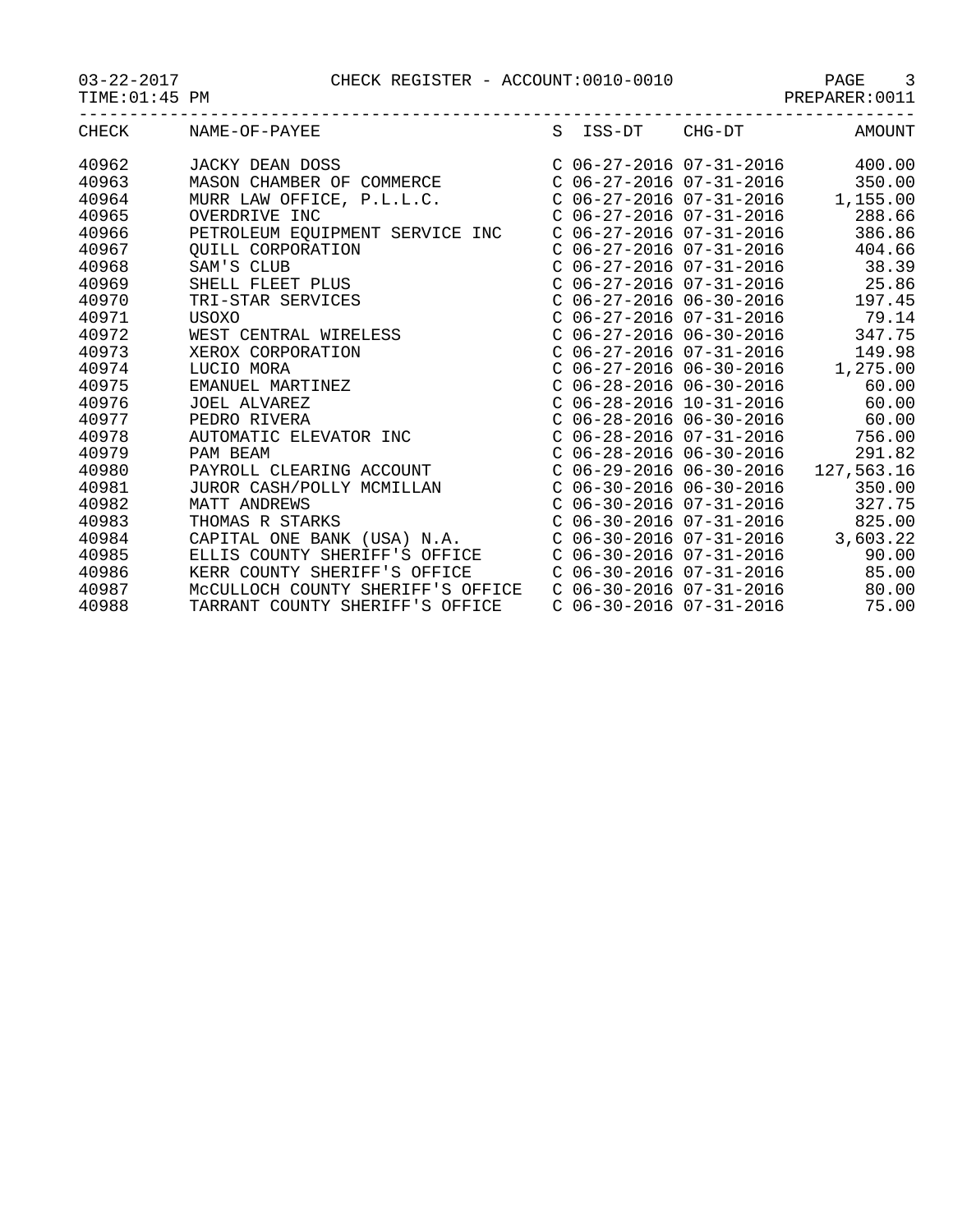03-22-2017 CHECK REGISTER - ACCOUNT:0010-0010 PAGE 3

| $03 - 22 - 2017$ |
|------------------|
|------------------|

| ---<br>---           | --------<br>--- | -----            |
|----------------------|-----------------|------------------|
| TIME:01<br>РM<br>:45 |                 | 0011<br>PREPARER |

|       | CHECK NAME-OF-PAYEE                                                                                                              | S ISS-DT CHG-DT                      | AMOUNT   |
|-------|----------------------------------------------------------------------------------------------------------------------------------|--------------------------------------|----------|
| 40962 |                                                                                                                                  | $C$ 06-27-2016 07-31-2016 400.00     |          |
| 40963 | JACKY DEAN DOSS<br>MASON CHAMBER OF COMMERCE                                                                                     | $C$ 06-27-2016 07-31-2016            | 350.00   |
| 40964 |                                                                                                                                  | $C$ 06-27-2016 07-31-2016 1,155.00   |          |
| 40965 | MURR LAW OFFICE, P.L.L.C.<br>OVERDRIVE INC                                                                                       | $C$ 06-27-2016 07-31-2016            | 288.66   |
| 40966 | PETROLEUM EQUIPMENT SERVICE INC                                                                                                  | $C$ 06-27-2016 07-31-2016            | 386.86   |
| 40967 | QUILL CORPORATION                                                                                                                | $C$ 06-27-2016 07-31-2016            | 404.66   |
| 40968 | QUILL CORPORATION<br>SAM'S CLUB<br>SHELL FLEET PLUS<br>TRI-STAR SERVICES<br>USOVO                                                | C 06-27-2016 07-31-2016              | 38.39    |
| 40969 |                                                                                                                                  | C 06-27-2016 07-31-2016              | 25.86    |
| 40970 |                                                                                                                                  | $C$ 06-27-2016 06-30-2016            | 197.45   |
| 40971 | USOXO                                                                                                                            | $C$ 06-27-2016 07-31-2016            | 79.14    |
| 40972 |                                                                                                                                  | $C$ 06-27-2016 06-30-2016            | 347.75   |
| 40973 |                                                                                                                                  | $C$ 06-27-2016 07-31-2016            | 149.98   |
| 40974 | WEST CENTRAL WIRELESS<br>XEROX CORPORATION<br>LUCIO MORA<br>EMANUEL MARTINEZ<br>JOEL ALVAREZ<br>PEDRO RIVERA<br>PITONATIC RIVERA | $C$ 06-27-2016 06-30-2016            | 1,275.00 |
| 40975 |                                                                                                                                  | $C$ 06-28-2016 06-30-2016            | 60.00    |
| 40976 |                                                                                                                                  | $C$ 06-28-2016 10-31-2016            | 60.00    |
| 40977 |                                                                                                                                  | $C$ 06-28-2016 06-30-2016            | 60.00    |
| 40978 | AUTOMATIC ELEVATOR INC<br>PAM BEAM                                                                                               | C 06-28-2016 07-31-2016              | 756.00   |
| 40979 |                                                                                                                                  | $C$ 06-28-2016 06-30-2016            | 291.82   |
| 40980 | PAYROLL CLEARING ACCOUNT                                                                                                         | $C$ 06-29-2016 06-30-2016 127,563.16 |          |
| 40981 | JUROR CASH/POLLY MCMILLAN                                                                                                        | $C$ 06-30-2016 06-30-2016            | 350.00   |
| 40982 | MATT ANDREWS                                                                                                                     | $C$ 06-30-2016 07-31-2016            | 327.75   |
| 40983 | THOMAS R STARKS                                                                                                                  | $C$ 06-30-2016 07-31-2016            | 825.00   |
| 40984 | CAPITAL ONE BANK (USA) N.A.                                                                                                      | $C$ 06-30-2016 07-31-2016 3,603.22   |          |
| 40985 | ELLIS COUNTY SHERIFF'S OFFICE                                                                                                    | $C$ 06-30-2016 07-31-2016            | 90.00    |
| 40986 | KERR COUNTY SHERIFF'S OFFICE                                                                                                     | $C$ 06-30-2016 07-31-2016            | 85.00    |
| 40987 | MCCULLOCH COUNTY SHERIFF'S OFFICE                                                                                                | $C$ 06-30-2016 07-31-2016            | 80.00    |
| 40988 | TARRANT COUNTY SHERIFF'S OFFICE                                                                                                  | $C$ 06-30-2016 07-31-2016            | 75.00    |
|       |                                                                                                                                  |                                      |          |